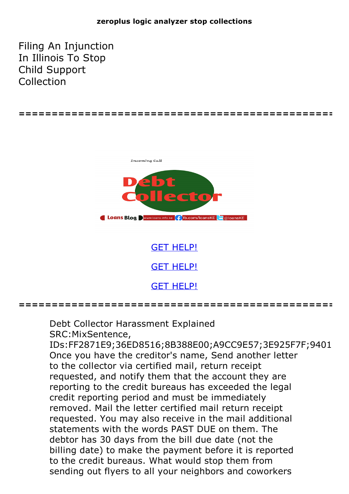## **zeroplus logic analyzer stop collections**

Filing An Injunction In Illinois To Stop Child Support Collection



**================================================**

GET [HELP!](https://runpdf.xyz/pdf) GET [HELP!](https://runpdf.xyz/pdf) GET [HELP!](https://runpdf.xyz/pdf)

Debt Collector Harassment Explained SRC:MixSentence,

IDs:FF2871E9;36ED8516;8B388E00;A9CC9E57;3E925F7F;9401 Once you have the creditor's name, Send another letter to the collector via certified mail, return receipt requested, and notify them that the account they are reporting to the credit bureaus has exceeded the legal credit reporting period and must be immediately removed. Mail the letter certified mail return receipt requested. You may also receive in the mail additional statements with the words PAST DUE on them. The debtor has 30 days from the bill due date (not the billing date) to make the payment before it is reported to the credit bureaus. What would stop them from sending out flyers to all your neighbors and coworkers

**================================================**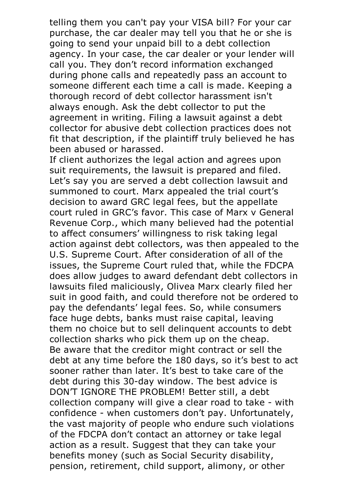telling them you can't pay your VISA bill? For your car purchase, the car dealer may tell you that he or she is going to send your unpaid bill to a debt collection agency. In your case, the car dealer or your lender will call you. They don't record information exchanged during phone calls and repeatedly pass an account to someone different each time a call is made. Keeping a thorough record of debt collector harassment isn't always enough. Ask the debt collector to put the agreement in writing. Filing a lawsuit against a debt collector for abusive debt collection practices does not fit that description, if the plaintiff truly believed he has been abused or harassed.

If client authorizes the legal action and agrees upon suit requirements, the lawsuit is prepared and filed. Let's say you are served a debt collection lawsuit and summoned to court. Marx appealed the trial court's decision to award GRC legal fees, but the appellate court ruled in GRC's favor. This case of Marx v General Revenue Corp., which many believed had the potential to affect consumers' willingness to risk taking legal action against debt collectors, was then appealed to the U.S. Supreme Court. After consideration of all of the issues, the Supreme Court ruled that, while the FDCPA does allow judges to award defendant debt collectors in lawsuits filed maliciously, Olivea Marx clearly filed her suit in good faith, and could therefore not be ordered to pay the defendants' legal fees. So, while consumers face huge debts, banks must raise capital, leaving them no choice but to sell delinquent accounts to debt collection sharks who pick them up on the cheap. Be aware that the creditor might contract or sell the debt at any time before the 180 days, so it's best to act sooner rather than later. It's best to take care of the debt during this 30-day window. The best advice is DON'T IGNORE THE PROBLEM! Better still, a debt collection company will give a clear road to take - with confidence - when customers don't pay. Unfortunately, the vast majority of people who endure such violations of the FDCPA don't contact an attorney or take legal action as a result. Suggest that they can take your benefits money (such as Social Security disability, pension, retirement, child support, alimony, or other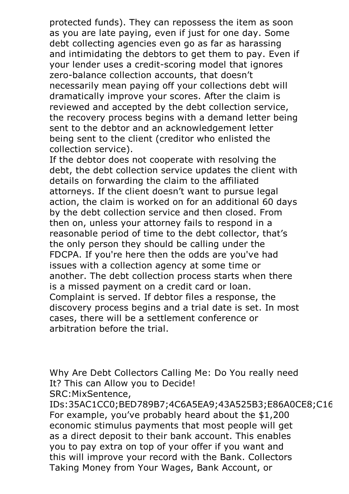protected funds). They can repossess the item as soon as you are late paying, even if just for one day. Some debt collecting agencies even go as far as harassing and intimidating the debtors to get them to pay. Even if your lender uses a credit-scoring model that ignores zero-balance collection accounts, that doesn't necessarily mean paying off your collections debt will dramatically improve your scores. After the claim is reviewed and accepted by the debt collection service, the recovery process begins with a demand letter being sent to the debtor and an acknowledgement letter being sent to the client (creditor who enlisted the collection service).

If the debtor does not cooperate with resolving the debt, the debt collection service updates the client with details on forwarding the claim to the affiliated attorneys. If the client doesn't want to pursue legal action, the claim is worked on for an additional 60 days by the debt collection service and then closed. From then on, unless your attorney fails to respond in a reasonable period of time to the debt collector, that's the only person they should be calling under the FDCPA. If you're here then the odds are you've had issues with a collection agency at some time or another. The debt collection process starts when there is <sup>a</sup> missed payment on <sup>a</sup> credit card or loan. Complaint is served. If debtor files <sup>a</sup> response, the discovery process begins and a trial date is set. In most cases, there will be a settlement conference or arbitration before the trial.

Why Are Debt Collectors Calling Me: Do You really need It? This can Allow you to Decide! SRC:MixSentence,

IDs:35AC1CC0;BED789B7;4C6A5EA9;43A525B3;E86A0CE8;C16 For example, you've probably heard about the \$1,200 economic stimulus payments that most people will get as a direct deposit to their bank account. This enables you to pay extra on top of your offer if you want and this will improve your record with the Bank. Collectors Taking Money from Your Wages, Bank Account, or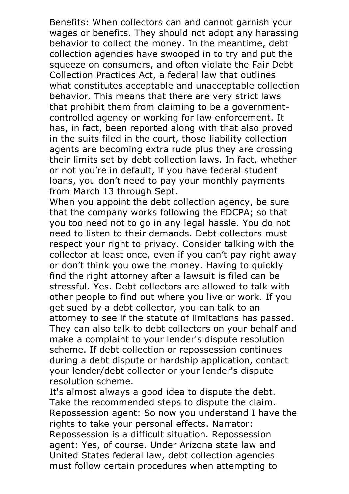Benefits: When collectors can and cannot garnish your wages or benefits. They should not adopt any harassing behavior to collect the money. In the meantime, debt collection agencies have swooped in to try and put the squeeze on consumers, and often violate the Fair Debt Collection Practices Act, a federal law that outlines what constitutes acceptable and unacceptable collection behavior. This means that there are very strict laws that prohibit them from claiming to be a governmentcontrolled agency or working for law enforcement. It has, in fact, been reported along with that also proved in the suits filed in the court, those liability collection agents are becoming extra rude plus they are crossing their limits set by debt collection laws. In fact, whether or not you're in default, if you have federal student loans, you don't need to pay your monthly payments

from March <sup>13</sup> through Sept. When you appoint the debt collection agency, be sure that the company works following the FDCPA; so that you too need not to go in any legal hassle. You do not need to listen to their demands. Debt collectors must respect your right to privacy. Consider talking with the collector at least once, even if you can't pay right away or don't think you owe the money. Having to quickly find the right attorney after a lawsuit is filed can be stressful. Yes. Debt collectors are allowed to talk with other people to find out where you live or work. If you get sued by a debt collector, you can talk to an attorney to see if the statute of limitations has passed. They can also talk to debt collectors on your behalf and make a complaint to your lender's dispute resolution scheme. If debt collection or repossession continues during a debt dispute or hardship application, contact your lender/debt collector or your lender's dispute resolution scheme.

It's almost always <sup>a</sup> good idea to dispute the debt. Take the recommended steps to dispute the claim. Repossession agent: So now you understand <sup>I</sup> have the rights to take your personal effects. Narrator: Repossession is a difficult situation. Repossession agent: Yes, of course. Under Arizona state law and United States federal law, debt collection agencies must follow certain procedures when attempting to